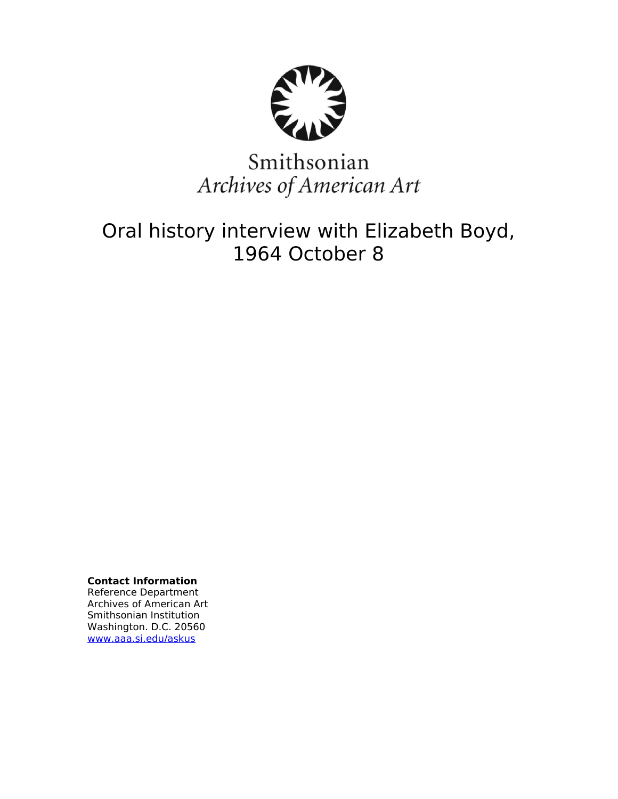

# Smithsonian Archives of American Art

# Oral history interview with Elizabeth Boyd, 1964 October 8

**Contact Information** Reference Department Archives of American Art Smithsonian Institution Washington. D.C. 20560 [www.aaa.si.edu/askus](http://www.aaa.si.edu/askus)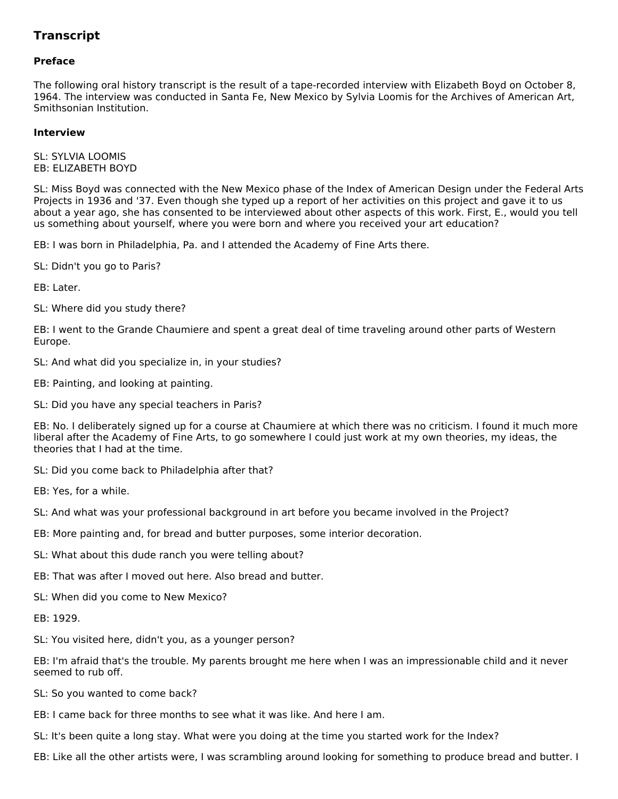## **Transcript**

### **Preface**

The following oral history transcript is the result of a tape-recorded interview with Elizabeth Boyd on October 8, 1964. The interview was conducted in Santa Fe, New Mexico by Sylvia Loomis for the Archives of American Art, Smithsonian Institution.

#### **Interview**

SL: SYLVIA LOOMIS EB: ELIZABETH BOYD

SL: Miss Boyd was connected with the New Mexico phase of the Index of American Design under the Federal Arts Projects in 1936 and '37. Even though she typed up a report of her activities on this project and gave it to us about a year ago, she has consented to be interviewed about other aspects of this work. First, E., would you tell us something about yourself, where you were born and where you received your art education?

EB: I was born in Philadelphia, Pa. and I attended the Academy of Fine Arts there.

SL: Didn't you go to Paris?

EB: Later.

SL: Where did you study there?

EB: I went to the Grande Chaumiere and spent a great deal of time traveling around other parts of Western Europe.

- SL: And what did you specialize in, in your studies?
- EB: Painting, and looking at painting.
- SL: Did you have any special teachers in Paris?

EB: No. I deliberately signed up for a course at Chaumiere at which there was no criticism. I found it much more liberal after the Academy of Fine Arts, to go somewhere I could just work at my own theories, my ideas, the theories that I had at the time.

- SL: Did you come back to Philadelphia after that?
- EB: Yes, for a while.
- SL: And what was your professional background in art before you became involved in the Project?
- EB: More painting and, for bread and butter purposes, some interior decoration.
- SL: What about this dude ranch you were telling about?
- EB: That was after I moved out here. Also bread and butter.
- SL: When did you come to New Mexico?
- EB: 1929.
- SL: You visited here, didn't you, as a younger person?

EB: I'm afraid that's the trouble. My parents brought me here when I was an impressionable child and it never seemed to rub off.

- SL: So you wanted to come back?
- EB: I came back for three months to see what it was like. And here I am.
- SL: It's been quite a long stay. What were you doing at the time you started work for the Index?
- EB: Like all the other artists were, I was scrambling around looking for something to produce bread and butter. I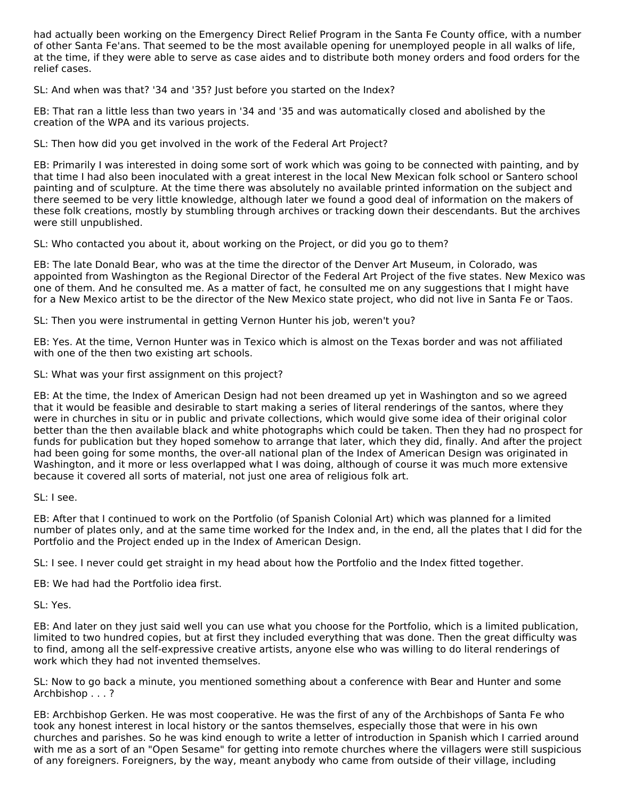had actually been working on the Emergency Direct Relief Program in the Santa Fe County office, with a number of other Santa Fe'ans. That seemed to be the most available opening for unemployed people in all walks of life, at the time, if they were able to serve as case aides and to distribute both money orders and food orders for the relief cases.

SL: And when was that? '34 and '35? Just before you started on the Index?

EB: That ran a little less than two years in '34 and '35 and was automatically closed and abolished by the creation of the WPA and its various projects.

SL: Then how did you get involved in the work of the Federal Art Project?

EB: Primarily I was interested in doing some sort of work which was going to be connected with painting, and by that time I had also been inoculated with a great interest in the local New Mexican folk school or Santero school painting and of sculpture. At the time there was absolutely no available printed information on the subject and there seemed to be very little knowledge, although later we found a good deal of information on the makers of these folk creations, mostly by stumbling through archives or tracking down their descendants. But the archives were still unpublished.

SL: Who contacted you about it, about working on the Project, or did you go to them?

EB: The late Donald Bear, who was at the time the director of the Denver Art Museum, in Colorado, was appointed from Washington as the Regional Director of the Federal Art Project of the five states. New Mexico was one of them. And he consulted me. As a matter of fact, he consulted me on any suggestions that I might have for a New Mexico artist to be the director of the New Mexico state project, who did not live in Santa Fe or Taos.

SL: Then you were instrumental in getting Vernon Hunter his job, weren't you?

EB: Yes. At the time, Vernon Hunter was in Texico which is almost on the Texas border and was not affiliated with one of the then two existing art schools.

SL: What was your first assignment on this project?

EB: At the time, the Index of American Design had not been dreamed up yet in Washington and so we agreed that it would be feasible and desirable to start making a series of literal renderings of the santos, where they were in churches in situ or in public and private collections, which would give some idea of their original color better than the then available black and white photographs which could be taken. Then they had no prospect for funds for publication but they hoped somehow to arrange that later, which they did, finally. And after the project had been going for some months, the over-all national plan of the Index of American Design was originated in Washington, and it more or less overlapped what I was doing, although of course it was much more extensive because it covered all sorts of material, not just one area of religious folk art.

SL: I see.

EB: After that I continued to work on the Portfolio (of Spanish Colonial Art) which was planned for a limited number of plates only, and at the same time worked for the Index and, in the end, all the plates that I did for the Portfolio and the Project ended up in the Index of American Design.

SL: I see. I never could get straight in my head about how the Portfolio and the Index fitted together.

EB: We had had the Portfolio idea first.

SL: Yes.

EB: And later on they just said well you can use what you choose for the Portfolio, which is a limited publication, limited to two hundred copies, but at first they included everything that was done. Then the great difficulty was to find, among all the self-expressive creative artists, anyone else who was willing to do literal renderings of work which they had not invented themselves.

SL: Now to go back a minute, you mentioned something about a conference with Bear and Hunter and some Archbishop . . . ?

EB: Archbishop Gerken. He was most cooperative. He was the first of any of the Archbishops of Santa Fe who took any honest interest in local history or the santos themselves, especially those that were in his own churches and parishes. So he was kind enough to write a letter of introduction in Spanish which I carried around with me as a sort of an "Open Sesame" for getting into remote churches where the villagers were still suspicious of any foreigners. Foreigners, by the way, meant anybody who came from outside of their village, including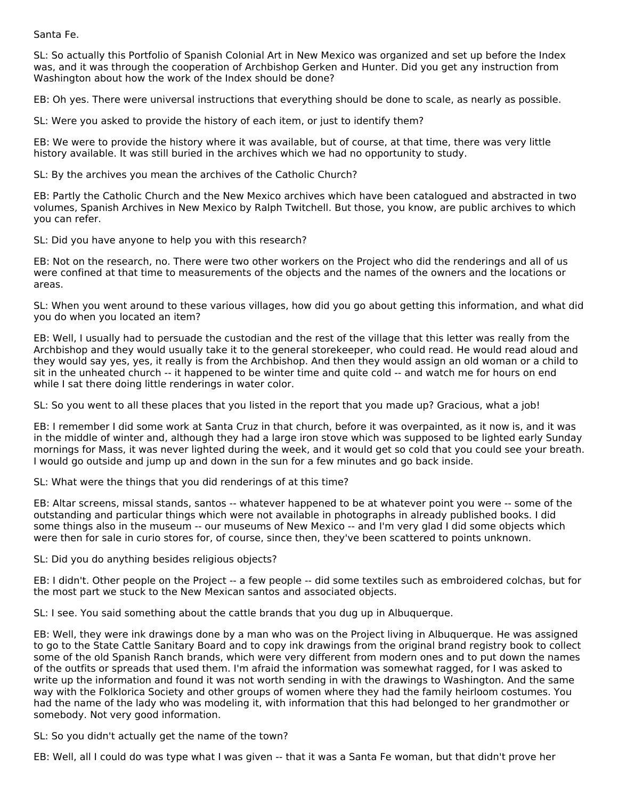Santa Fe.

SL: So actually this Portfolio of Spanish Colonial Art in New Mexico was organized and set up before the Index was, and it was through the cooperation of Archbishop Gerken and Hunter. Did you get any instruction from Washington about how the work of the Index should be done?

EB: Oh yes. There were universal instructions that everything should be done to scale, as nearly as possible.

SL: Were you asked to provide the history of each item, or just to identify them?

EB: We were to provide the history where it was available, but of course, at that time, there was very little history available. It was still buried in the archives which we had no opportunity to study.

SL: By the archives you mean the archives of the Catholic Church?

EB: Partly the Catholic Church and the New Mexico archives which have been catalogued and abstracted in two volumes, Spanish Archives in New Mexico by Ralph Twitchell. But those, you know, are public archives to which you can refer.

SL: Did you have anyone to help you with this research?

EB: Not on the research, no. There were two other workers on the Project who did the renderings and all of us were confined at that time to measurements of the objects and the names of the owners and the locations or areas.

SL: When you went around to these various villages, how did you go about getting this information, and what did you do when you located an item?

EB: Well, I usually had to persuade the custodian and the rest of the village that this letter was really from the Archbishop and they would usually take it to the general storekeeper, who could read. He would read aloud and they would say yes, yes, it really is from the Archbishop. And then they would assign an old woman or a child to sit in the unheated church -- it happened to be winter time and quite cold -- and watch me for hours on end while I sat there doing little renderings in water color.

SL: So you went to all these places that you listed in the report that you made up? Gracious, what a job!

EB: I remember I did some work at Santa Cruz in that church, before it was overpainted, as it now is, and it was in the middle of winter and, although they had a large iron stove which was supposed to be lighted early Sunday mornings for Mass, it was never lighted during the week, and it would get so cold that you could see your breath. I would go outside and jump up and down in the sun for a few minutes and go back inside.

SL: What were the things that you did renderings of at this time?

EB: Altar screens, missal stands, santos -- whatever happened to be at whatever point you were -- some of the outstanding and particular things which were not available in photographs in already published books. I did some things also in the museum -- our museums of New Mexico -- and I'm very glad I did some objects which were then for sale in curio stores for, of course, since then, they've been scattered to points unknown.

SL: Did you do anything besides religious objects?

EB: I didn't. Other people on the Project -- a few people -- did some textiles such as embroidered colchas, but for the most part we stuck to the New Mexican santos and associated objects.

SL: I see. You said something about the cattle brands that you dug up in Albuquerque.

EB: Well, they were ink drawings done by a man who was on the Project living in Albuquerque. He was assigned to go to the State Cattle Sanitary Board and to copy ink drawings from the original brand registry book to collect some of the old Spanish Ranch brands, which were very different from modern ones and to put down the names of the outfits or spreads that used them. I'm afraid the information was somewhat ragged, for I was asked to write up the information and found it was not worth sending in with the drawings to Washington. And the same way with the Folklorica Society and other groups of women where they had the family heirloom costumes. You had the name of the lady who was modeling it, with information that this had belonged to her grandmother or somebody. Not very good information.

SL: So you didn't actually get the name of the town?

EB: Well, all I could do was type what I was given -- that it was a Santa Fe woman, but that didn't prove her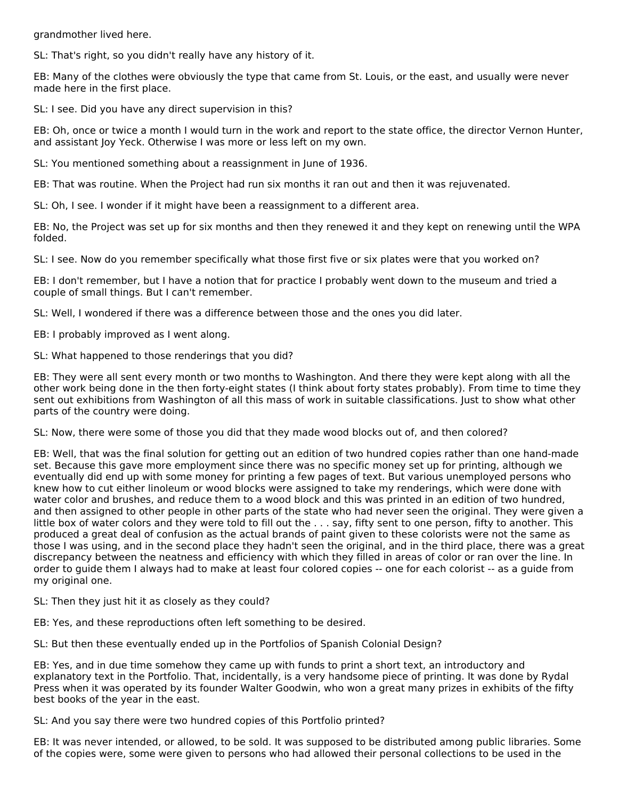grandmother lived here.

SL: That's right, so you didn't really have any history of it.

EB: Many of the clothes were obviously the type that came from St. Louis, or the east, and usually were never made here in the first place.

SL: I see. Did you have any direct supervision in this?

EB: Oh, once or twice a month I would turn in the work and report to the state office, the director Vernon Hunter, and assistant Joy Yeck. Otherwise I was more or less left on my own.

SL: You mentioned something about a reassignment in June of 1936.

EB: That was routine. When the Project had run six months it ran out and then it was rejuvenated.

SL: Oh, I see. I wonder if it might have been a reassignment to a different area.

EB: No, the Project was set up for six months and then they renewed it and they kept on renewing until the WPA folded.

SL: I see. Now do you remember specifically what those first five or six plates were that you worked on?

EB: I don't remember, but I have a notion that for practice I probably went down to the museum and tried a couple of small things. But I can't remember.

SL: Well, I wondered if there was a difference between those and the ones you did later.

EB: I probably improved as I went along.

SL: What happened to those renderings that you did?

EB: They were all sent every month or two months to Washington. And there they were kept along with all the other work being done in the then forty-eight states (I think about forty states probably). From time to time they sent out exhibitions from Washington of all this mass of work in suitable classifications. Just to show what other parts of the country were doing.

SL: Now, there were some of those you did that they made wood blocks out of, and then colored?

EB: Well, that was the final solution for getting out an edition of two hundred copies rather than one hand-made set. Because this gave more employment since there was no specific money set up for printing, although we eventually did end up with some money for printing a few pages of text. But various unemployed persons who knew how to cut either linoleum or wood blocks were assigned to take my renderings, which were done with water color and brushes, and reduce them to a wood block and this was printed in an edition of two hundred, and then assigned to other people in other parts of the state who had never seen the original. They were given a little box of water colors and they were told to fill out the . . . say, fifty sent to one person, fifty to another. This produced a great deal of confusion as the actual brands of paint given to these colorists were not the same as those I was using, and in the second place they hadn't seen the original, and in the third place, there was a great discrepancy between the neatness and efficiency with which they filled in areas of color or ran over the line. In order to guide them I always had to make at least four colored copies -- one for each colorist -- as a guide from my original one.

SL: Then they just hit it as closely as they could?

EB: Yes, and these reproductions often left something to be desired.

SL: But then these eventually ended up in the Portfolios of Spanish Colonial Design?

EB: Yes, and in due time somehow they came up with funds to print a short text, an introductory and explanatory text in the Portfolio. That, incidentally, is a very handsome piece of printing. It was done by Rydal Press when it was operated by its founder Walter Goodwin, who won a great many prizes in exhibits of the fifty best books of the year in the east.

SL: And you say there were two hundred copies of this Portfolio printed?

EB: It was never intended, or allowed, to be sold. It was supposed to be distributed among public libraries. Some of the copies were, some were given to persons who had allowed their personal collections to be used in the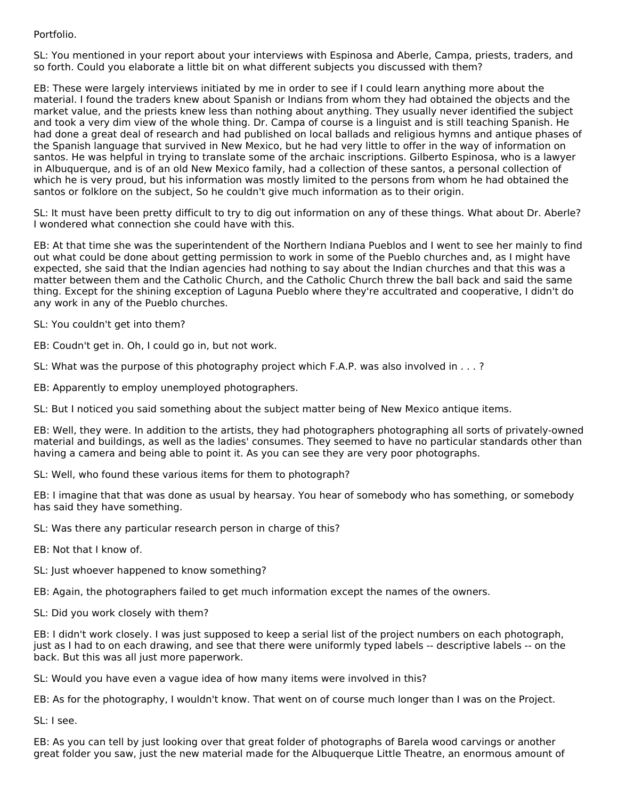### Portfolio.

SL: You mentioned in your report about your interviews with Espinosa and Aberle, Campa, priests, traders, and so forth. Could you elaborate a little bit on what different subjects you discussed with them?

EB: These were largely interviews initiated by me in order to see if I could learn anything more about the material. I found the traders knew about Spanish or Indians from whom they had obtained the objects and the market value, and the priests knew less than nothing about anything. They usually never identified the subject and took a very dim view of the whole thing. Dr. Campa of course is a linguist and is still teaching Spanish. He had done a great deal of research and had published on local ballads and religious hymns and antique phases of the Spanish language that survived in New Mexico, but he had very little to offer in the way of information on santos. He was helpful in trying to translate some of the archaic inscriptions. Gilberto Espinosa, who is a lawyer in Albuquerque, and is of an old New Mexico family, had a collection of these santos, a personal collection of which he is very proud, but his information was mostly limited to the persons from whom he had obtained the santos or folklore on the subject, So he couldn't give much information as to their origin.

SL: It must have been pretty difficult to try to dig out information on any of these things. What about Dr. Aberle? I wondered what connection she could have with this.

EB: At that time she was the superintendent of the Northern Indiana Pueblos and I went to see her mainly to find out what could be done about getting permission to work in some of the Pueblo churches and, as I might have expected, she said that the Indian agencies had nothing to say about the Indian churches and that this was a matter between them and the Catholic Church, and the Catholic Church threw the ball back and said the same thing. Except for the shining exception of Laguna Pueblo where they're accultrated and cooperative, I didn't do any work in any of the Pueblo churches.

SL: You couldn't get into them?

EB: Coudn't get in. Oh, I could go in, but not work.

SL: What was the purpose of this photography project which F.A.P. was also involved in . . . ?

EB: Apparently to employ unemployed photographers.

SL: But I noticed you said something about the subject matter being of New Mexico antique items.

EB: Well, they were. In addition to the artists, they had photographers photographing all sorts of privately-owned material and buildings, as well as the ladies' consumes. They seemed to have no particular standards other than having a camera and being able to point it. As you can see they are very poor photographs.

SL: Well, who found these various items for them to photograph?

EB: I imagine that that was done as usual by hearsay. You hear of somebody who has something, or somebody has said they have something.

SL: Was there any particular research person in charge of this?

EB: Not that I know of.

SL: Just whoever happened to know something?

EB: Again, the photographers failed to get much information except the names of the owners.

SL: Did you work closely with them?

EB: I didn't work closely. I was just supposed to keep a serial list of the project numbers on each photograph, just as I had to on each drawing, and see that there were uniformly typed labels -- descriptive labels -- on the back. But this was all just more paperwork.

SL: Would you have even a vague idea of how many items were involved in this?

EB: As for the photography, I wouldn't know. That went on of course much longer than I was on the Project.

SL: I see.

EB: As you can tell by just looking over that great folder of photographs of Barela wood carvings or another great folder you saw, just the new material made for the Albuquerque Little Theatre, an enormous amount of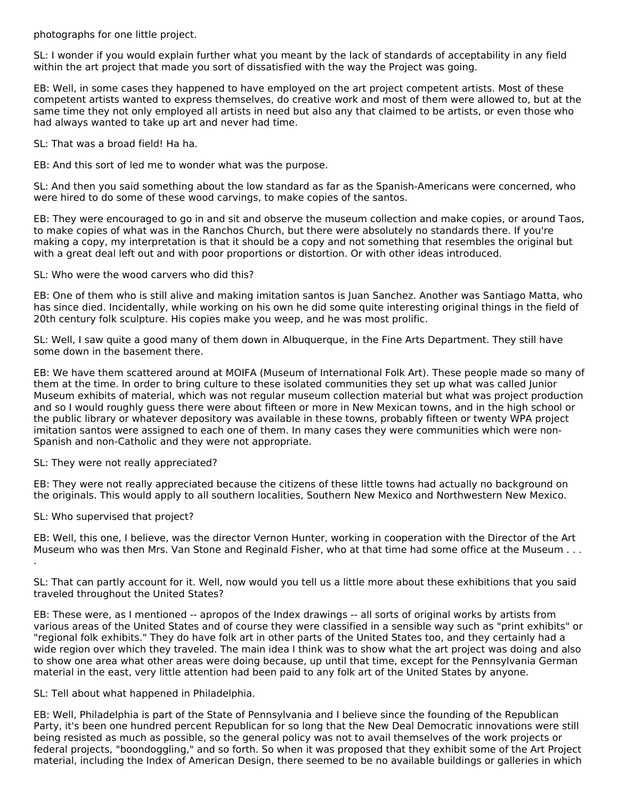photographs for one little project.

SL: I wonder if you would explain further what you meant by the lack of standards of acceptability in any field within the art project that made you sort of dissatisfied with the way the Project was going.

EB: Well, in some cases they happened to have employed on the art project competent artists. Most of these competent artists wanted to express themselves, do creative work and most of them were allowed to, but at the same time they not only employed all artists in need but also any that claimed to be artists, or even those who had always wanted to take up art and never had time.

SL: That was a broad field! Ha ha.

EB: And this sort of led me to wonder what was the purpose.

SL: And then you said something about the low standard as far as the Spanish-Americans were concerned, who were hired to do some of these wood carvings, to make copies of the santos.

EB: They were encouraged to go in and sit and observe the museum collection and make copies, or around Taos, to make copies of what was in the Ranchos Church, but there were absolutely no standards there. If you're making a copy, my interpretation is that it should be a copy and not something that resembles the original but with a great deal left out and with poor proportions or distortion. Or with other ideas introduced.

SL: Who were the wood carvers who did this?

EB: One of them who is still alive and making imitation santos is Juan Sanchez. Another was Santiago Matta, who has since died. Incidentally, while working on his own he did some quite interesting original things in the field of 20th century folk sculpture. His copies make you weep, and he was most prolific.

SL: Well, I saw quite a good many of them down in Albuquerque, in the Fine Arts Department. They still have some down in the basement there.

EB: We have them scattered around at MOIFA (Museum of International Folk Art). These people made so many of them at the time. In order to bring culture to these isolated communities they set up what was called Junior Museum exhibits of material, which was not regular museum collection material but what was project production and so I would roughly guess there were about fifteen or more in New Mexican towns, and in the high school or the public library or whatever depository was available in these towns, probably fifteen or twenty WPA project imitation santos were assigned to each one of them. In many cases they were communities which were non-Spanish and non-Catholic and they were not appropriate.

SL: They were not really appreciated?

EB: They were not really appreciated because the citizens of these little towns had actually no background on the originals. This would apply to all southern localities, Southern New Mexico and Northwestern New Mexico.

SL: Who supervised that project?

EB: Well, this one, I believe, was the director Vernon Hunter, working in cooperation with the Director of the Art Museum who was then Mrs. Van Stone and Reginald Fisher, who at that time had some office at the Museum . . . .

SL: That can partly account for it. Well, now would you tell us a little more about these exhibitions that you said traveled throughout the United States?

EB: These were, as I mentioned -- apropos of the Index drawings -- all sorts of original works by artists from various areas of the United States and of course they were classified in a sensible way such as "print exhibits" or "regional folk exhibits." They do have folk art in other parts of the United States too, and they certainly had a wide region over which they traveled. The main idea I think was to show what the art project was doing and also to show one area what other areas were doing because, up until that time, except for the Pennsylvania German material in the east, very little attention had been paid to any folk art of the United States by anyone.

SL: Tell about what happened in Philadelphia.

EB: Well, Philadelphia is part of the State of Pennsylvania and I believe since the founding of the Republican Party, it's been one hundred percent Republican for so long that the New Deal Democratic innovations were still being resisted as much as possible, so the general policy was not to avail themselves of the work projects or federal projects, "boondoggling," and so forth. So when it was proposed that they exhibit some of the Art Project material, including the Index of American Design, there seemed to be no available buildings or galleries in which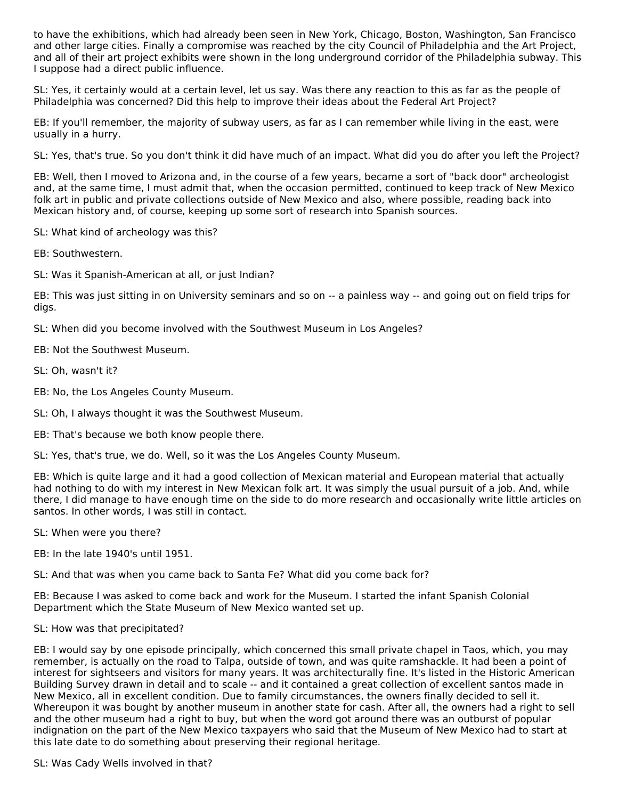to have the exhibitions, which had already been seen in New York, Chicago, Boston, Washington, San Francisco and other large cities. Finally a compromise was reached by the city Council of Philadelphia and the Art Project, and all of their art project exhibits were shown in the long underground corridor of the Philadelphia subway. This I suppose had a direct public influence.

SL: Yes, it certainly would at a certain level, let us say. Was there any reaction to this as far as the people of Philadelphia was concerned? Did this help to improve their ideas about the Federal Art Project?

EB: If you'll remember, the majority of subway users, as far as I can remember while living in the east, were usually in a hurry.

SL: Yes, that's true. So you don't think it did have much of an impact. What did you do after you left the Project?

EB: Well, then I moved to Arizona and, in the course of a few years, became a sort of "back door" archeologist and, at the same time, I must admit that, when the occasion permitted, continued to keep track of New Mexico folk art in public and private collections outside of New Mexico and also, where possible, reading back into Mexican history and, of course, keeping up some sort of research into Spanish sources.

SL: What kind of archeology was this?

EB: Southwestern.

SL: Was it Spanish-American at all, or just Indian?

EB: This was just sitting in on University seminars and so on -- a painless way -- and going out on field trips for digs.

SL: When did you become involved with the Southwest Museum in Los Angeles?

EB: Not the Southwest Museum.

SL: Oh, wasn't it?

EB: No, the Los Angeles County Museum.

SL: Oh, I always thought it was the Southwest Museum.

EB: That's because we both know people there.

SL: Yes, that's true, we do. Well, so it was the Los Angeles County Museum.

EB: Which is quite large and it had a good collection of Mexican material and European material that actually had nothing to do with my interest in New Mexican folk art. It was simply the usual pursuit of a job. And, while there, I did manage to have enough time on the side to do more research and occasionally write little articles on santos. In other words, I was still in contact.

SL: When were you there?

EB: In the late 1940's until 1951.

SL: And that was when you came back to Santa Fe? What did you come back for?

EB: Because I was asked to come back and work for the Museum. I started the infant Spanish Colonial Department which the State Museum of New Mexico wanted set up.

SL: How was that precipitated?

EB: I would say by one episode principally, which concerned this small private chapel in Taos, which, you may remember, is actually on the road to Talpa, outside of town, and was quite ramshackle. It had been a point of interest for sightseers and visitors for many years. It was architecturally fine. It's listed in the Historic American Building Survey drawn in detail and to scale -- and it contained a great collection of excellent santos made in New Mexico, all in excellent condition. Due to family circumstances, the owners finally decided to sell it. Whereupon it was bought by another museum in another state for cash. After all, the owners had a right to sell and the other museum had a right to buy, but when the word got around there was an outburst of popular indignation on the part of the New Mexico taxpayers who said that the Museum of New Mexico had to start at this late date to do something about preserving their regional heritage.

SL: Was Cady Wells involved in that?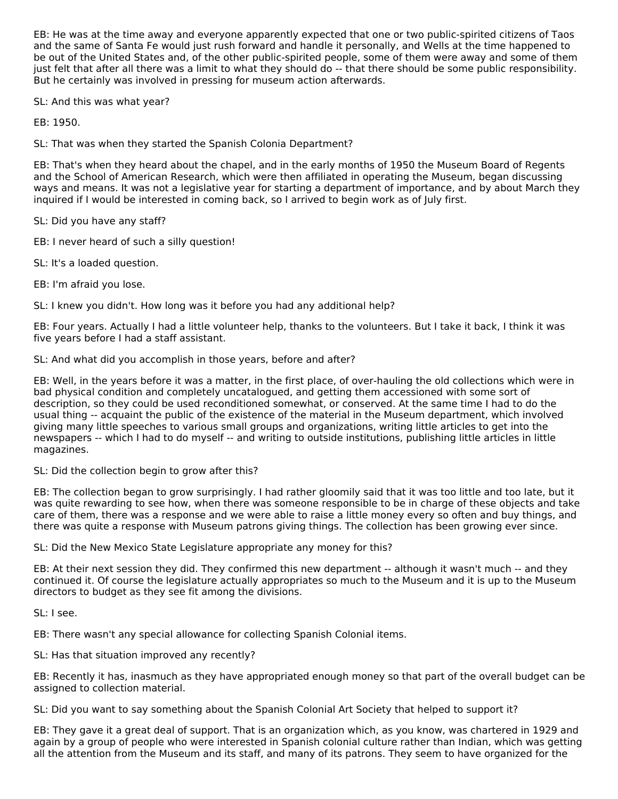EB: He was at the time away and everyone apparently expected that one or two public-spirited citizens of Taos and the same of Santa Fe would just rush forward and handle it personally, and Wells at the time happened to be out of the United States and, of the other public-spirited people, some of them were away and some of them just felt that after all there was a limit to what they should do -- that there should be some public responsibility. But he certainly was involved in pressing for museum action afterwards.

SL: And this was what year?

EB: 1950.

SL: That was when they started the Spanish Colonia Department?

EB: That's when they heard about the chapel, and in the early months of 1950 the Museum Board of Regents and the School of American Research, which were then affiliated in operating the Museum, began discussing ways and means. It was not a legislative year for starting a department of importance, and by about March they inquired if I would be interested in coming back, so I arrived to begin work as of July first.

SL: Did you have any staff?

EB: I never heard of such a silly question!

SL: It's a loaded question.

EB: I'm afraid you lose.

SL: I knew you didn't. How long was it before you had any additional help?

EB: Four years. Actually I had a little volunteer help, thanks to the volunteers. But I take it back, I think it was five years before I had a staff assistant.

SL: And what did you accomplish in those years, before and after?

EB: Well, in the years before it was a matter, in the first place, of over-hauling the old collections which were in bad physical condition and completely uncatalogued, and getting them accessioned with some sort of description, so they could be used reconditioned somewhat, or conserved. At the same time I had to do the usual thing -- acquaint the public of the existence of the material in the Museum department, which involved giving many little speeches to various small groups and organizations, writing little articles to get into the newspapers -- which I had to do myself -- and writing to outside institutions, publishing little articles in little magazines.

SL: Did the collection begin to grow after this?

EB: The collection began to grow surprisingly. I had rather gloomily said that it was too little and too late, but it was quite rewarding to see how, when there was someone responsible to be in charge of these objects and take care of them, there was a response and we were able to raise a little money every so often and buy things, and there was quite a response with Museum patrons giving things. The collection has been growing ever since.

SL: Did the New Mexico State Legislature appropriate any money for this?

EB: At their next session they did. They confirmed this new department -- although it wasn't much -- and they continued it. Of course the legislature actually appropriates so much to the Museum and it is up to the Museum directors to budget as they see fit among the divisions.

SL: I see.

EB: There wasn't any special allowance for collecting Spanish Colonial items.

SL: Has that situation improved any recently?

EB: Recently it has, inasmuch as they have appropriated enough money so that part of the overall budget can be assigned to collection material.

SL: Did you want to say something about the Spanish Colonial Art Society that helped to support it?

EB: They gave it a great deal of support. That is an organization which, as you know, was chartered in 1929 and again by a group of people who were interested in Spanish colonial culture rather than Indian, which was getting all the attention from the Museum and its staff, and many of its patrons. They seem to have organized for the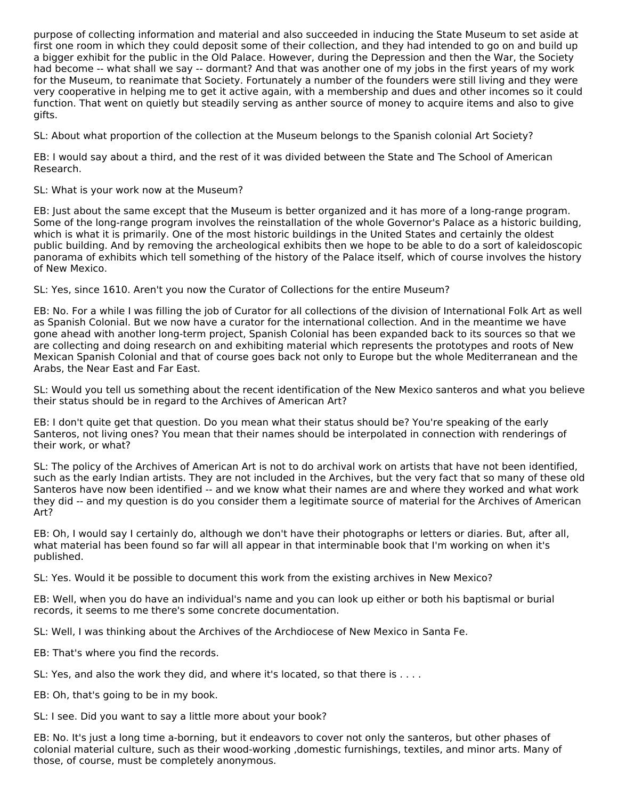purpose of collecting information and material and also succeeded in inducing the State Museum to set aside at first one room in which they could deposit some of their collection, and they had intended to go on and build up a bigger exhibit for the public in the Old Palace. However, during the Depression and then the War, the Society had become -- what shall we say -- dormant? And that was another one of my jobs in the first years of my work for the Museum, to reanimate that Society. Fortunately a number of the founders were still living and they were very cooperative in helping me to get it active again, with a membership and dues and other incomes so it could function. That went on quietly but steadily serving as anther source of money to acquire items and also to give gifts.

SL: About what proportion of the collection at the Museum belongs to the Spanish colonial Art Society?

EB: I would say about a third, and the rest of it was divided between the State and The School of American Research.

SL: What is your work now at the Museum?

EB: Just about the same except that the Museum is better organized and it has more of a long-range program. Some of the long-range program involves the reinstallation of the whole Governor's Palace as a historic building, which is what it is primarily. One of the most historic buildings in the United States and certainly the oldest public building. And by removing the archeological exhibits then we hope to be able to do a sort of kaleidoscopic panorama of exhibits which tell something of the history of the Palace itself, which of course involves the history of New Mexico.

SL: Yes, since 1610. Aren't you now the Curator of Collections for the entire Museum?

EB: No. For a while I was filling the job of Curator for all collections of the division of International Folk Art as well as Spanish Colonial. But we now have a curator for the international collection. And in the meantime we have gone ahead with another long-term project, Spanish Colonial has been expanded back to its sources so that we are collecting and doing research on and exhibiting material which represents the prototypes and roots of New Mexican Spanish Colonial and that of course goes back not only to Europe but the whole Mediterranean and the Arabs, the Near East and Far East.

SL: Would you tell us something about the recent identification of the New Mexico santeros and what you believe their status should be in regard to the Archives of American Art?

EB: I don't quite get that question. Do you mean what their status should be? You're speaking of the early Santeros, not living ones? You mean that their names should be interpolated in connection with renderings of their work, or what?

SL: The policy of the Archives of American Art is not to do archival work on artists that have not been identified, such as the early Indian artists. They are not included in the Archives, but the very fact that so many of these old Santeros have now been identified -- and we know what their names are and where they worked and what work they did -- and my question is do you consider them a legitimate source of material for the Archives of American Art?

EB: Oh, I would say I certainly do, although we don't have their photographs or letters or diaries. But, after all, what material has been found so far will all appear in that interminable book that I'm working on when it's published.

SL: Yes. Would it be possible to document this work from the existing archives in New Mexico?

EB: Well, when you do have an individual's name and you can look up either or both his baptismal or burial records, it seems to me there's some concrete documentation.

SL: Well, I was thinking about the Archives of the Archdiocese of New Mexico in Santa Fe.

EB: That's where you find the records.

SL: Yes, and also the work they did, and where it's located, so that there is . . . .

EB: Oh, that's going to be in my book.

SL: I see. Did you want to say a little more about your book?

EB: No. It's just a long time a-borning, but it endeavors to cover not only the santeros, but other phases of colonial material culture, such as their wood-working ,domestic furnishings, textiles, and minor arts. Many of those, of course, must be completely anonymous.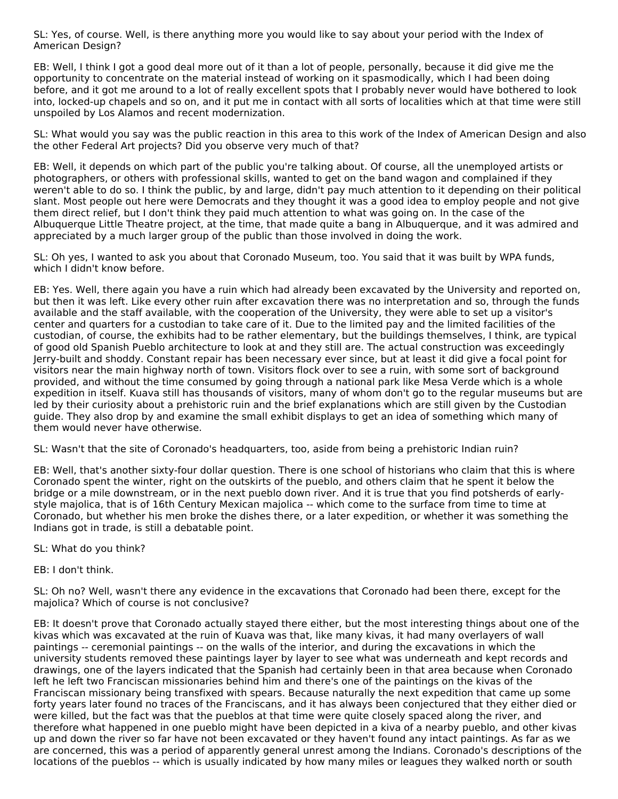SL: Yes, of course. Well, is there anything more you would like to say about your period with the Index of American Design?

EB: Well, I think I got a good deal more out of it than a lot of people, personally, because it did give me the opportunity to concentrate on the material instead of working on it spasmodically, which I had been doing before, and it got me around to a lot of really excellent spots that I probably never would have bothered to look into, locked-up chapels and so on, and it put me in contact with all sorts of localities which at that time were still unspoiled by Los Alamos and recent modernization.

SL: What would you say was the public reaction in this area to this work of the Index of American Design and also the other Federal Art projects? Did you observe very much of that?

EB: Well, it depends on which part of the public you're talking about. Of course, all the unemployed artists or photographers, or others with professional skills, wanted to get on the band wagon and complained if they weren't able to do so. I think the public, by and large, didn't pay much attention to it depending on their political slant. Most people out here were Democrats and they thought it was a good idea to employ people and not give them direct relief, but I don't think they paid much attention to what was going on. In the case of the Albuquerque Little Theatre project, at the time, that made quite a bang in Albuquerque, and it was admired and appreciated by a much larger group of the public than those involved in doing the work.

SL: Oh yes, I wanted to ask you about that Coronado Museum, too. You said that it was built by WPA funds, which I didn't know before.

EB: Yes. Well, there again you have a ruin which had already been excavated by the University and reported on, but then it was left. Like every other ruin after excavation there was no interpretation and so, through the funds available and the staff available, with the cooperation of the University, they were able to set up a visitor's center and quarters for a custodian to take care of it. Due to the limited pay and the limited facilities of the custodian, of course, the exhibits had to be rather elementary, but the buildings themselves, I think, are typical of good old Spanish Pueblo architecture to look at and they still are. The actual construction was exceedingly Jerry-built and shoddy. Constant repair has been necessary ever since, but at least it did give a focal point for visitors near the main highway north of town. Visitors flock over to see a ruin, with some sort of background provided, and without the time consumed by going through a national park like Mesa Verde which is a whole expedition in itself. Kuava still has thousands of visitors, many of whom don't go to the regular museums but are led by their curiosity about a prehistoric ruin and the brief explanations which are still given by the Custodian guide. They also drop by and examine the small exhibit displays to get an idea of something which many of them would never have otherwise.

SL: Wasn't that the site of Coronado's headquarters, too, aside from being a prehistoric Indian ruin?

EB: Well, that's another sixty-four dollar question. There is one school of historians who claim that this is where Coronado spent the winter, right on the outskirts of the pueblo, and others claim that he spent it below the bridge or a mile downstream, or in the next pueblo down river. And it is true that you find potsherds of earlystyle majolica, that is of 16th Century Mexican majolica -- which come to the surface from time to time at Coronado, but whether his men broke the dishes there, or a later expedition, or whether it was something the Indians got in trade, is still a debatable point.

#### SL: What do you think?

EB: I don't think.

SL: Oh no? Well, wasn't there any evidence in the excavations that Coronado had been there, except for the majolica? Which of course is not conclusive?

EB: It doesn't prove that Coronado actually stayed there either, but the most interesting things about one of the kivas which was excavated at the ruin of Kuava was that, like many kivas, it had many overlayers of wall paintings -- ceremonial paintings -- on the walls of the interior, and during the excavations in which the university students removed these paintings layer by layer to see what was underneath and kept records and drawings, one of the layers indicated that the Spanish had certainly been in that area because when Coronado left he left two Franciscan missionaries behind him and there's one of the paintings on the kivas of the Franciscan missionary being transfixed with spears. Because naturally the next expedition that came up some forty years later found no traces of the Franciscans, and it has always been conjectured that they either died or were killed, but the fact was that the pueblos at that time were quite closely spaced along the river, and therefore what happened in one pueblo might have been depicted in a kiva of a nearby pueblo, and other kivas up and down the river so far have not been excavated or they haven't found any intact paintings. As far as we are concerned, this was a period of apparently general unrest among the Indians. Coronado's descriptions of the locations of the pueblos -- which is usually indicated by how many miles or leagues they walked north or south